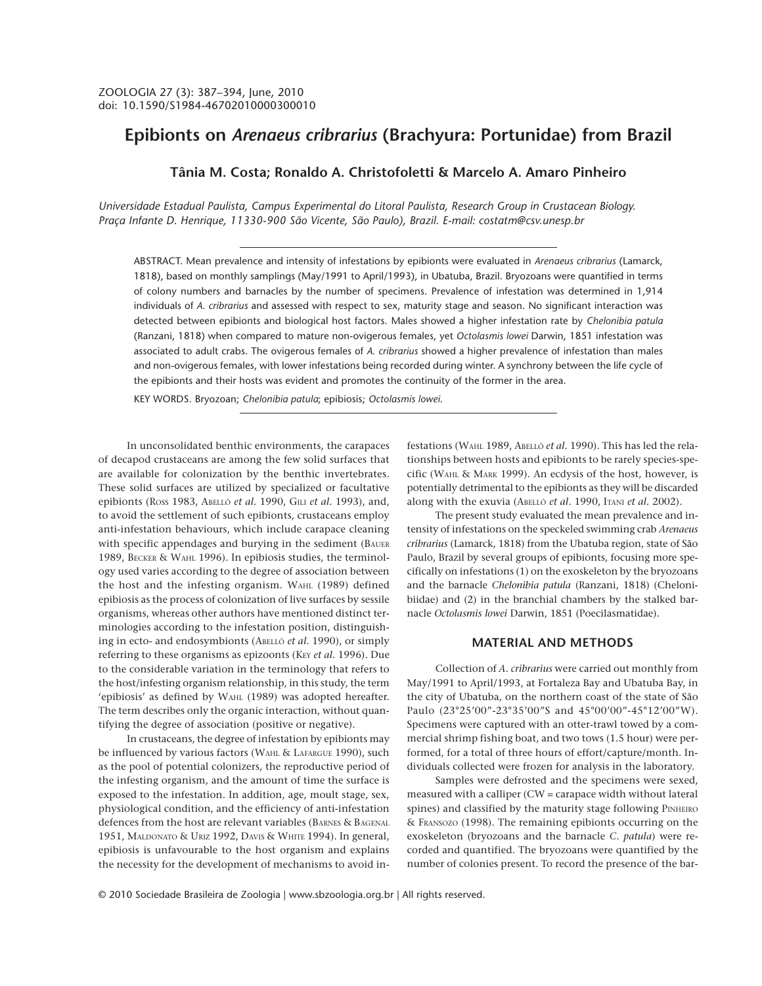# **Epibionts on** *Arenaeus cribrarius* **(Brachyura: Portunidae) from Brazil**

### **Tânia M. Costa; Ronaldo A. Christofoletti & Marcelo A. Amaro Pinheiro**

*Universidade Estadual Paulista, Campus Experimental do Litoral Paulista, Research Group in Crustacean Biology. Praça Infante D. Henrique, 11330-900 São Vicente, São Paulo), Brazil. E-mail: costatm@csv.unesp.br*

ABSTRACT. Mean prevalence and intensity of infestations by epibionts were evaluated in *Arenaeus cribrarius* (Lamarck, 1818), based on monthly samplings (May/1991 to April/1993), in Ubatuba, Brazil. Bryozoans were quantified in terms of colony numbers and barnacles by the number of specimens. Prevalence of infestation was determined in 1,914 individuals of *A. cribrarius* and assessed with respect to sex, maturity stage and season. No significant interaction was detected between epibionts and biological host factors. Males showed a higher infestation rate by *Chelonibia patula* (Ranzani, 1818) when compared to mature non-ovigerous females, yet *Octolasmis lowei* Darwin, 1851 infestation was associated to adult crabs. The ovigerous females of *A. cribrarius* showed a higher prevalence of infestation than males and non-ovigerous females, with lower infestations being recorded during winter. A synchrony between the life cycle of the epibionts and their hosts was evident and promotes the continuity of the former in the area.

KEY WORDS. Bryozoan; *Chelonibia patula*; epibiosis; *Octolasmis lowei*.

In unconsolidated benthic environments, the carapaces of decapod crustaceans are among the few solid surfaces that are available for colonization by the benthic invertebrates. These solid surfaces are utilized by specialized or facultative epibionts (ROSS 1983, ABELLÓ *et al.* 1990, GILI *et al.* 1993), and, to avoid the settlement of such epibionts, crustaceans employ anti-infestation behaviours, which include carapace cleaning with specific appendages and burying in the sediment (BAUER 1989, BECKER & WAHL 1996). In epibiosis studies, the terminology used varies according to the degree of association between the host and the infesting organism. WAHL (1989) defined epibiosis as the process of colonization of live surfaces by sessile organisms, whereas other authors have mentioned distinct terminologies according to the infestation position, distinguishing in ecto- and endosymbionts (ABELLÓ *et al.* 1990), or simply referring to these organisms as epizoonts (KEY et al. 1996). Due to the considerable variation in the terminology that refers to the host/infesting organism relationship, in this study, the term 'epibiosis' as defined by WAHL (1989) was adopted hereafter. The term describes only the organic interaction, without quantifying the degree of association (positive or negative).

In crustaceans, the degree of infestation by epibionts may be influenced by various factors (WAHL & LAFARGUE 1990), such as the pool of potential colonizers, the reproductive period of the infesting organism, and the amount of time the surface is exposed to the infestation. In addition, age, moult stage, sex, physiological condition, and the efficiency of anti-infestation defences from the host are relevant variables (BARNES & BAGENAL 1951, MALDONATO & URIZ 1992, DAVIS & WHITE 1994). In general, epibiosis is unfavourable to the host organism and explains the necessity for the development of mechanisms to avoid infestations (WAHL 1989, ABELLÓ *et al.* 1990). This has led the relationships between hosts and epibionts to be rarely species-specific (WAHL & MARK 1999). An ecdysis of the host, however, is potentially detrimental to the epibionts as they will be discarded along with the exuvia (ABELLÓ *et al.* 1990, ITANI *et al.* 2002).

The present study evaluated the mean prevalence and intensity of infestations on the speckeled swimming crab *Arenaeus cribrarius* (Lamarck, 1818) from the Ubatuba region, state of São Paulo, Brazil by several groups of epibionts, focusing more specifically on infestations (1) on the exoskeleton by the bryozoans and the barnacle *Chelonibia patula* (Ranzani, 1818) (Chelonibiidae) and (2) in the branchial chambers by the stalked barnacle *Octolasmis lowei* Darwin, 1851 (Poecilasmatidae).

### **MATERIAL AND METHODS**

Collection of *A. cribrarius* were carried out monthly from May/1991 to April/1993, at Fortaleza Bay and Ubatuba Bay, in the city of Ubatuba, on the northern coast of the state of São Paulo (23°25'00"-23°35'00"S and 45°00'00"-45°12'00"W). Specimens were captured with an otter-trawl towed by a commercial shrimp fishing boat, and two tows (1.5 hour) were performed, for a total of three hours of effort/capture/month. Individuals collected were frozen for analysis in the laboratory.

Samples were defrosted and the specimens were sexed, measured with a calliper (CW = carapace width without lateral spines) and classified by the maturity stage following PINHEIRO & FRANSOZO (1998). The remaining epibionts occurring on the exoskeleton (bryozoans and the barnacle *C. patula*) were recorded and quantified. The bryozoans were quantified by the number of colonies present. To record the presence of the bar-

© 2010 Sociedade Brasileira de Zoologia | www.sbzoologia.org.br | All rights reserved.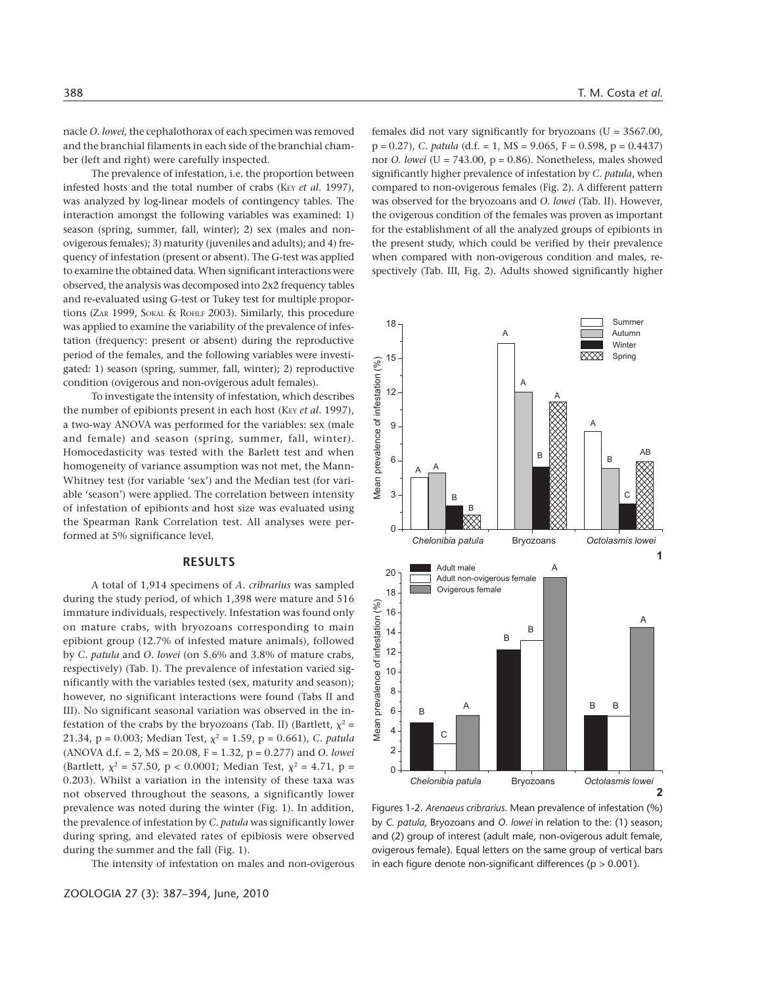nacle *O. lowei*, the cephalothorax of each specimen was removed and the branchial filaments in each side of the branchial chamber (left and right) were carefully inspected.

The prevalence of infestation, i.e. the proportion between infested hosts and the total number of crabs (KEY *et al.* 1997), was analyzed by log-linear models of contingency tables. The interaction amongst the following variables was examined: 1) season (spring, summer, fall, winter); 2) sex (males and nonovigerous females); 3) maturity (juveniles and adults); and 4) frequency of infestation (present or absent). The G-test was applied to examine the obtained data. When significant interactions were observed, the analysis was decomposed into 2x2 frequency tables and re-evaluated using G-test or Tukey test for multiple proportions (ZAR 1999, SOKAL & ROHLF 2003). Similarly, this procedure was applied to examine the variability of the prevalence of infestation (frequency: present or absent) during the reproductive period of the females, and the following variables were investigated: 1) season (spring, summer, fall, winter); 2) reproductive condition (ovigerous and non-ovigerous adult females).

To investigate the intensity of infestation, which describes the number of epibionts present in each host (KEY *et al.* 1997), a two-way ANOVA was performed for the variables: sex (male and female) and season (spring, summer, fall, winter). Homocedasticity was tested with the Barlett test and when homogeneity of variance assumption was not met, the Mann-Whitney test (for variable 'sex') and the Median test (for variable 'season') were applied. The correlation between intensity of infestation of epibionts and host size was evaluated using the Spearman Rank Correlation test. All analyses were performed at 5% significance level.

### **RESULTS**

A total of 1,914 specimens of *A. cribrarius* was sampled during the study period, of which 1,398 were mature and 516 immature individuals, respectively. Infestation was found only on mature crabs, with bryozoans corresponding to main epibiont group (12.7% of infested mature animals), followed by *C. patula* and *O. lowei* (on 5.6% and 3.8% of mature crabs, respectively) (Tab. I). The prevalence of infestation varied significantly with the variables tested (sex, maturity and season); however, no significant interactions were found (Tabs II and III). No significant seasonal variation was observed in the infestation of the crabs by the bryozoans (Tab. II) (Bartlett,  $\chi^2$  = 21.34,  $p = 0.003$ ; Median Test,  $\chi^2 = 1.59$ ,  $p = 0.661$ ), *C. patula* (ANOVA d.f. = 2, MS = 20.08, F = 1.32, p = 0.277) and *O. lowei* (Bartlett,  $\chi^2 = 57.50$ , p < 0.0001; Median Test,  $\chi^2 = 4.71$ , p = 0.203). Whilst a variation in the intensity of these taxa was not observed throughout the seasons, a significantly lower prevalence was noted during the winter (Fig. 1). In addition, the prevalence of infestation by *C. patula* was significantly lower during spring, and elevated rates of epibiosis were observed during the summer and the fall (Fig. 1).

The intensity of infestation on males and non-ovigerous

females did not vary significantly for bryozoans ( $U = 3567.00$ ), p = 0.27), *C. patula* (d.f. = 1, MS = 9.065, F = 0.598, p = 0.4437) nor *O. lowei* (U = 743.00, p = 0.86). Nonetheless, males showed significantly higher prevalence of infestation by *C. patula*, when compared to non-ovigerous females (Fig. 2). A different pattern was observed for the bryozoans and *O. lowei* (Tab. II). However, the ovigerous condition of the females was proven as important for the establishment of all the analyzed groups of epibionts in the present study, which could be verified by their prevalence when compared with non-ovigerous condition and males, respectively (Tab. III, Fig. 2). Adults showed significantly higher



Figures 1-2. *Arenaeus cribrarius*. Mean prevalence of infestation (%) by *C. patula*, Bryozoans and *O. lowei* in relation to the: (1) season; and (2) group of interest (adult male, non-ovigerous adult female, ovigerous female). Equal letters on the same group of vertical bars in each figure denote non-significant differences ( $p > 0.001$ ).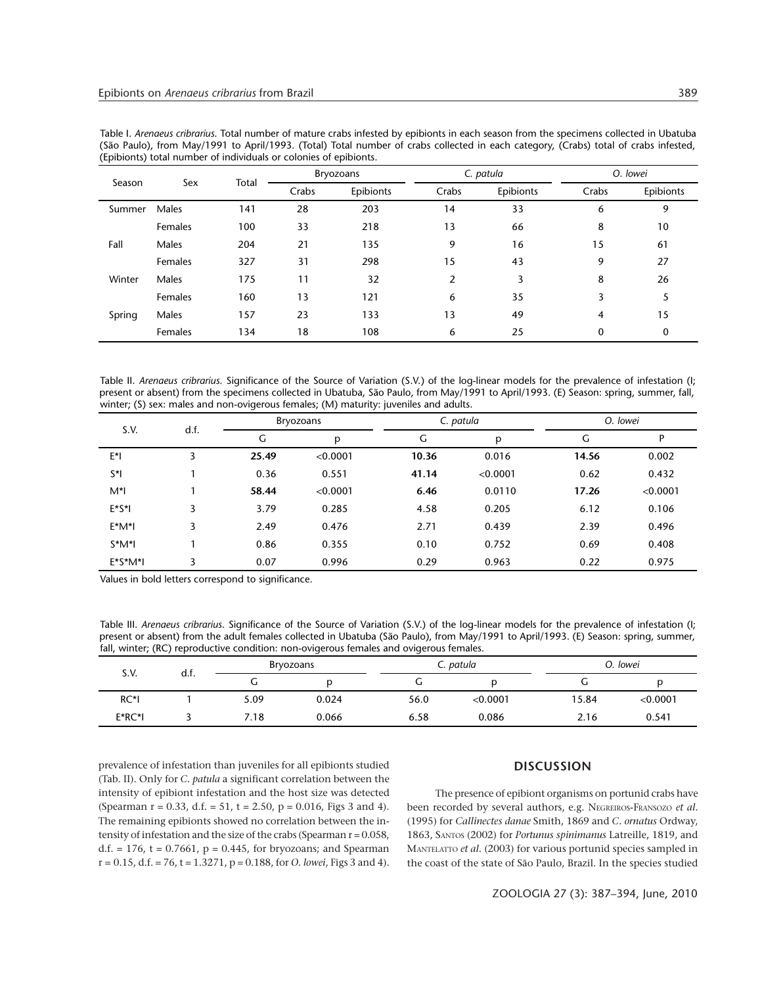| Season | Sex     | Total | <b>Bryozoans</b> |           | C. patula |           | O. lowei |           |
|--------|---------|-------|------------------|-----------|-----------|-----------|----------|-----------|
|        |         |       | Crabs            | Epibionts | Crabs     | Epibionts | Crabs    | Epibionts |
| Summer | Males   | 141   | 28               | 203       | 14        | 33        | 6        | 9         |
|        | Females | 100   | 33               | 218       | 13        | 66        | 8        | 10        |
| Fall   | Males   | 204   | 21               | 135       | 9         | 16        | 15       | 61        |
|        | Females | 327   | 31               | 298       | 15        | 43        | 9        | 27        |
| Winter | Males   | 175   | 11               | 32        | 2         | 3         | 8        | 26        |
|        | Females | 160   | 13               | 121       | 6         | 35        | 3        | 5         |
| Spring | Males   | 157   | 23               | 133       | 13        | 49        | 4        | 15        |
|        | Females | 134   | 18               | 108       | 6         | 25        | 0        | 0         |

Table I. *Arenaeus cribrarius*. Total number of mature crabs infested by epibionts in each season from the specimens collected in Ubatuba (São Paulo), from May/1991 to April/1993. (Total) Total number of crabs collected in each category, (Crabs) total of crabs infested, (Epibionts) total number of individuals or colonies of epibionts.

Table II. *Arenaeus cribrarius*. Significance of the Source of Variation (S.V.) of the log-linear models for the prevalence of infestation (I; present or absent) from the specimens collected in Ubatuba, São Paulo, from May/1991 to April/1993. (E) Season: spring, summer, fall, winter; (S) sex: males and non-ovigerous females; (M) maturity: juveniles and adults.

| S.V.         | d.f. | <b>Bryozoans</b> |          | C. patula |          | O. lowei |          |
|--------------|------|------------------|----------|-----------|----------|----------|----------|
|              |      | G                | p        | G         | p        | G        | P        |
| E*I          | 3    | 25.49            | < 0.0001 | 10.36     | 0.016    | 14.56    | 0.002    |
| $S^*$        |      | 0.36             | 0.551    | 41.14     | < 0.0001 | 0.62     | 0.432    |
| M*I          |      | 58.44            | < 0.0001 | 6.46      | 0.0110   | 17.26    | < 0.0001 |
| $E^*S^*$     | 3    | 3.79             | 0.285    | 4.58      | 0.205    | 6.12     | 0.106    |
| $E^*M^*I$    | 3    | 2.49             | 0.476    | 2.71      | 0.439    | 2.39     | 0.496    |
| $S^*M^*I$    |      | 0.86             | 0.355    | 0.10      | 0.752    | 0.69     | 0.408    |
| $E^*S^*M^*I$ | 3    | 0.07             | 0.996    | 0.29      | 0.963    | 0.22     | 0.975    |

Values in bold letters correspond to significance.

Table III. *Arenaeus cribrarius*. Significance of the Source of Variation (S.V.) of the log-linear models for the prevalence of infestation (I; present or absent) from the adult females collected in Ubatuba (São Paulo), from May/1991 to April/1993. (E) Season: spring, summer, fall, winter; (RC) reproductive condition: non-ovigerous females and ovigerous females.

| S.V.    | а.т. | Bryozoans       |       |      | C. patula |       | O. lowei |  |
|---------|------|-----------------|-------|------|-----------|-------|----------|--|
|         |      | u               |       | ◡    |           |       |          |  |
| RC*I    |      | 5.09            | 0.024 | 56.0 | < 0.0001  | 15.84 | < 0.0001 |  |
| $E*RC*$ |      | $^{\prime}$ .18 | 0.066 | 6.58 | 0.086     | 2.16  | 0.541    |  |

prevalence of infestation than juveniles for all epibionts studied (Tab. II). Only for *C. patula* a significant correlation between the intensity of epibiont infestation and the host size was detected (Spearman r = 0.33, d.f. = 51, t = 2.50, p = 0.016, Figs 3 and 4). The remaining epibionts showed no correlation between the intensity of infestation and the size of the crabs (Spearman r = 0.058, d.f. = 176, t = 0.7661,  $p = 0.445$ , for bryozoans; and Spearman r = 0.15, d.f. = 76, t = 1.3271, p = 0.188, for *O. lowei*, Figs 3 and 4).

## **DISCUSSION**

The presence of epibiont organisms on portunid crabs have been recorded by several authors, e.g. NEGREIROS-FRANSOZO *et al.* (1995) for *Callinectes danae* Smith, 1869 and *C. ornatus* Ordway, 1863, SANTOS (2002) for *Portunus spinimanus* Latreille, 1819, and MANTELATTO *et al.* (2003) for various portunid species sampled in the coast of the state of São Paulo, Brazil. In the species studied

ZOOLOGIA 27 (3): 387–394, June, 2010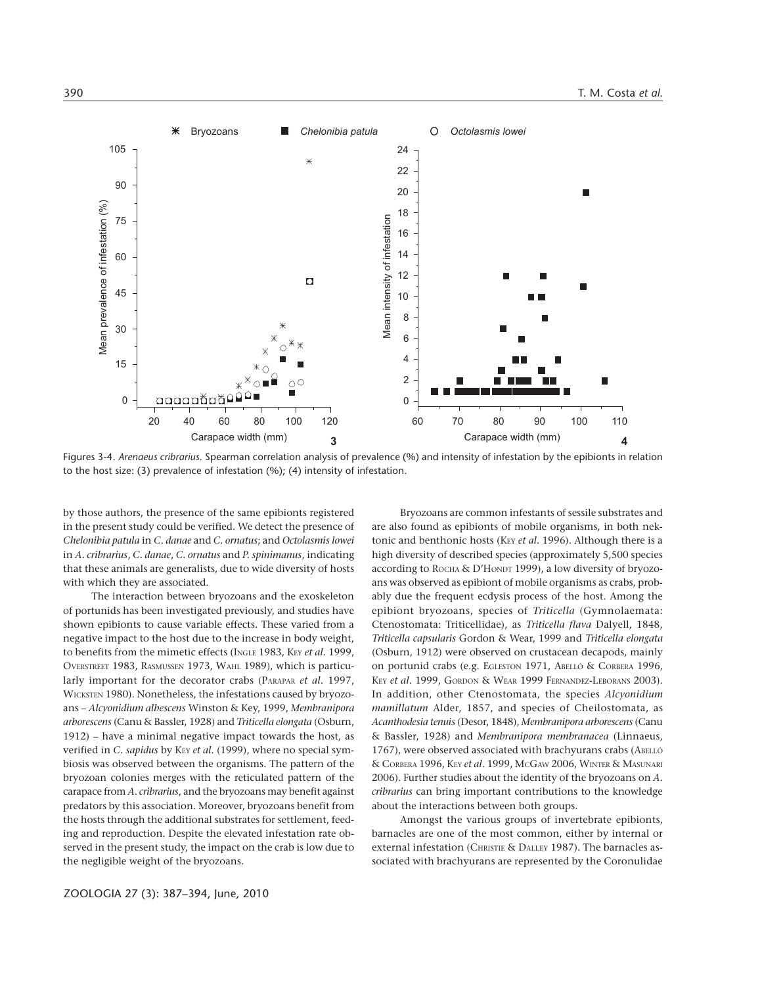

Figures 3-4. *Arenaeus cribrarius*. Spearman correlation analysis of prevalence (%) and intensity of infestation by the epibionts in relation to the host size: (3) prevalence of infestation (%); (4) intensity of infestation.

by those authors, the presence of the same epibionts registered in the present study could be verified. We detect the presence of *Chelonibia patula* in *C. danae* and *C. ornatus*; and *Octolasmis lowei* in *A. cribrarius*, *C. danae*, *C. ornatus* and *P. spinimanus*, indicating that these animals are generalists, due to wide diversity of hosts with which they are associated.

The interaction between bryozoans and the exoskeleton of portunids has been investigated previously, and studies have shown epibionts to cause variable effects. These varied from a negative impact to the host due to the increase in body weight, to benefits from the mimetic effects (INGLE 1983, KEY *et al.* 1999, OVERSTREET 1983, RASMUSSEN 1973, WAHL 1989), which is particularly important for the decorator crabs (PARAPAR *et al.* 1997, WICKSTEN 1980). Nonetheless, the infestations caused by bryozoans – *Alcyonidium albescens* Winston & Key, 1999, *Membranipora arborescens* (Canu & Bassler, 1928) and *Triticella elongata* (Osburn, 1912) – have a minimal negative impact towards the host, as verified in *C. sapidus* by K<sub>EY</sub> *et al.* (1999), where no special symbiosis was observed between the organisms. The pattern of the bryozoan colonies merges with the reticulated pattern of the carapace from *A. cribrarius*, and the bryozoans may benefit against predators by this association. Moreover, bryozoans benefit from the hosts through the additional substrates for settlement, feeding and reproduction. Despite the elevated infestation rate observed in the present study, the impact on the crab is low due to the negligible weight of the bryozoans.

Bryozoans are common infestants of sessile substrates and are also found as epibionts of mobile organisms, in both nektonic and benthonic hosts (KEY et al. 1996). Although there is a high diversity of described species (approximately 5,500 species according to ROCHA & D'HONDT 1999), a low diversity of bryozoans was observed as epibiont of mobile organisms as crabs, probably due the frequent ecdysis process of the host. Among the epibiont bryozoans, species of *Triticella* (Gymnolaemata: Ctenostomata: Triticellidae), as *Triticella flava* Dalyell, 1848, *Triticella capsularis* Gordon & Wear, 1999 and *Triticella elongata* (Osburn, 1912) were observed on crustacean decapods, mainly on portunid crabs (e.g. EGLESTON 1971, ABELLÓ & CORBERA 1996, KEY *et al.* 1999, GORDON & WEAR 1999 FERNANDEZ-LEBORANS 2003). In addition, other Ctenostomata, the species *Alcyonidium mamillatum* Alder, 1857, and species of Cheilostomata, as *Acanthodesia tenuis* (Desor, 1848), *Membranipora arborescens* (Canu & Bassler, 1928) and *Membranipora membranacea* (Linnaeus, 1767), were observed associated with brachyurans crabs (ABELLÓ & CORBERA 1996, KEY *et al.* 1999, MCGAW 2006, WINTER & MASUNARI 2006). Further studies about the identity of the bryozoans on *A. cribrarius* can bring important contributions to the knowledge about the interactions between both groups.

Amongst the various groups of invertebrate epibionts, barnacles are one of the most common, either by internal or external infestation (CHRISTIE & DALLEY 1987). The barnacles associated with brachyurans are represented by the Coronulidae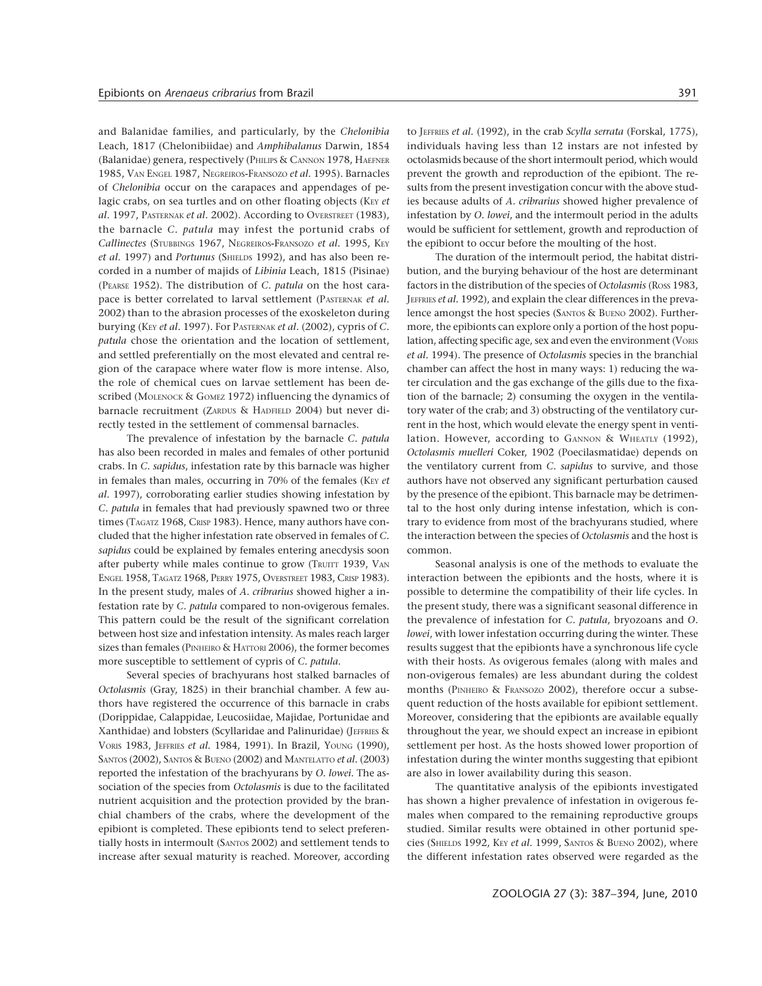and Balanidae families, and particularly, by the *Chelonibia* Leach, 1817 (Chelonibiidae) and *Amphibalanus* Darwin, 1854 (Balanidae) genera, respectively (PHILIPS & CANNON 1978, HAEFNER 1985, VAN ENGEL 1987, NEGREIROS-FRANSOZO *et al.* 1995). Barnacles of *Chelonibia* occur on the carapaces and appendages of pelagic crabs, on sea turtles and on other floating objects (KEY et *al.* 1997, PASTERNAK *et al.* 2002). According to OVERSTREET (1983), the barnacle *C. patula* may infest the portunid crabs of *Callinectes* (STUBBINGS 1967, NEGREIROS-FRANSOZO *et al.* 1995, KEY et al. 1997) and *Portunus* (SHIELDS 1992), and has also been recorded in a number of majids of *Libinia* Leach, 1815 (Pisinae) (PEARSE 1952). The distribution of *C. patula* on the host carapace is better correlated to larval settlement (PASTERNAK *et al.* 2002) than to the abrasion processes of the exoskeleton during burying (KEY *et al.* 1997). For PASTERNAK *et al.* (2002), cypris of *C. patula* chose the orientation and the location of settlement, and settled preferentially on the most elevated and central region of the carapace where water flow is more intense. Also, the role of chemical cues on larvae settlement has been described (MOLENOCK & GOMEZ 1972) influencing the dynamics of barnacle recruitment (ZARDUS & HADFIELD 2004) but never directly tested in the settlement of commensal barnacles.

The prevalence of infestation by the barnacle *C. patula* has also been recorded in males and females of other portunid crabs. In *C. sapidus*, infestation rate by this barnacle was higher in females than males, occurring in 70% of the females (KEY et *al.* 1997), corroborating earlier studies showing infestation by *C. patula* in females that had previously spawned two or three times (TAGATZ 1968, CRISP 1983). Hence, many authors have concluded that the higher infestation rate observed in females of *C. sapidus* could be explained by females entering anecdysis soon after puberty while males continue to grow (TRUITT 1939, VAN ENGEL 1958, TAGATZ 1968, PERRY 1975, OVERSTREET 1983, CRISP 1983). In the present study, males of *A. cribrarius* showed higher a infestation rate by *C. patula* compared to non-ovigerous females. This pattern could be the result of the significant correlation between host size and infestation intensity. As males reach larger sizes than females (PINHEIRO & HATTORI 2006), the former becomes more susceptible to settlement of cypris of *C. patula*.

Several species of brachyurans host stalked barnacles of *Octolasmis* (Gray, 1825) in their branchial chamber. A few authors have registered the occurrence of this barnacle in crabs (Dorippidae, Calappidae, Leucosiidae, Majidae, Portunidae and Xanthidae) and lobsters (Scyllaridae and Palinuridae) (JEFFRIES & VORIS 1983, JEFFRIES *et al.* 1984, 1991). In Brazil, YOUNG (1990), SANTOS (2002), SANTOS & BUENO (2002) and MANTELATTO *et al.* (2003) reported the infestation of the brachyurans by *O. lowei.* The association of the species from *Octolasmis* is due to the facilitated nutrient acquisition and the protection provided by the branchial chambers of the crabs, where the development of the epibiont is completed. These epibionts tend to select preferentially hosts in intermoult (SANTOS 2002) and settlement tends to increase after sexual maturity is reached. Moreover, according to JEFFRIES *et al.* (1992), in the crab *Scylla serrata* (Forskal, 1775), individuals having less than 12 instars are not infested by octolasmids because of the short intermoult period, which would prevent the growth and reproduction of the epibiont. The results from the present investigation concur with the above studies because adults of *A. cribrarius* showed higher prevalence of infestation by *O. lowei*, and the intermoult period in the adults would be sufficient for settlement, growth and reproduction of the epibiont to occur before the moulting of the host.

The duration of the intermoult period, the habitat distribution, and the burying behaviour of the host are determinant factors in the distribution of the species of *Octolasmis* (Ross 1983, JEFFRIES *et al.* 1992), and explain the clear differences in the prevalence amongst the host species (SANTOS & BUENO 2002). Furthermore, the epibionts can explore only a portion of the host population, affecting specific age, sex and even the environment (VORIS *et al.* 1994). The presence of *Octolasmis* species in the branchial chamber can affect the host in many ways: 1) reducing the water circulation and the gas exchange of the gills due to the fixation of the barnacle; 2) consuming the oxygen in the ventilatory water of the crab; and 3) obstructing of the ventilatory current in the host, which would elevate the energy spent in ventilation. However, according to GANNON & WHEATLY (1992), *Octolasmis muelleri* Coker, 1902 (Poecilasmatidae) depends on the ventilatory current from *C. sapidus* to survive, and those authors have not observed any significant perturbation caused by the presence of the epibiont. This barnacle may be detrimental to the host only during intense infestation, which is contrary to evidence from most of the brachyurans studied, where the interaction between the species of *Octolasmis* and the host is common.

Seasonal analysis is one of the methods to evaluate the interaction between the epibionts and the hosts, where it is possible to determine the compatibility of their life cycles. In the present study, there was a significant seasonal difference in the prevalence of infestation for *C. patula*, bryozoans and *O. lowei*, with lower infestation occurring during the winter. These results suggest that the epibionts have a synchronous life cycle with their hosts. As ovigerous females (along with males and non-ovigerous females) are less abundant during the coldest months (PINHEIRO & FRANSOZO 2002), therefore occur a subsequent reduction of the hosts available for epibiont settlement. Moreover, considering that the epibionts are available equally throughout the year, we should expect an increase in epibiont settlement per host. As the hosts showed lower proportion of infestation during the winter months suggesting that epibiont are also in lower availability during this season.

The quantitative analysis of the epibionts investigated has shown a higher prevalence of infestation in ovigerous females when compared to the remaining reproductive groups studied. Similar results were obtained in other portunid species (SHIELDS 1992, KEY *et al.* 1999, SANTOS & BUENO 2002), where the different infestation rates observed were regarded as the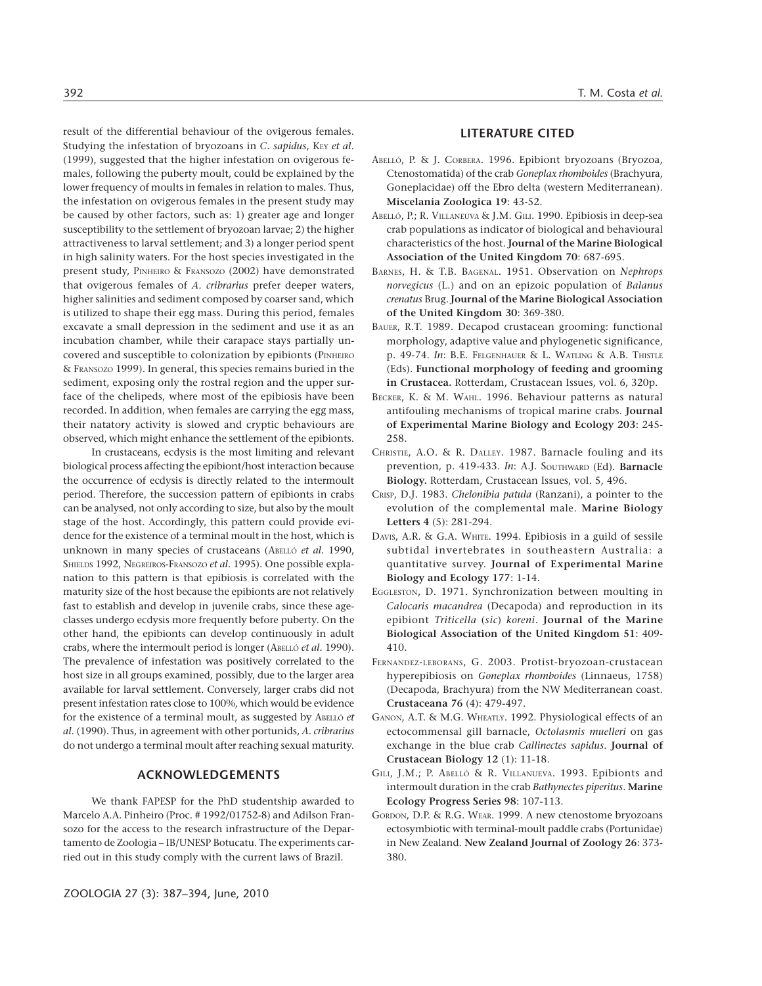result of the differential behaviour of the ovigerous females. Studying the infestation of bryozoans in *C. sapidus*, KEY et al. (1999), suggested that the higher infestation on ovigerous females, following the puberty moult, could be explained by the lower frequency of moults in females in relation to males. Thus, the infestation on ovigerous females in the present study may be caused by other factors, such as: 1) greater age and longer susceptibility to the settlement of bryozoan larvae; 2) the higher attractiveness to larval settlement; and 3) a longer period spent in high salinity waters. For the host species investigated in the present study, PINHEIRO & FRANSOZO (2002) have demonstrated that ovigerous females of *A. cribrarius* prefer deeper waters, higher salinities and sediment composed by coarser sand, which is utilized to shape their egg mass. During this period, females excavate a small depression in the sediment and use it as an incubation chamber, while their carapace stays partially uncovered and susceptible to colonization by epibionts (PINHEIRO & FRANSOZO 1999). In general, this species remains buried in the sediment, exposing only the rostral region and the upper surface of the chelipeds, where most of the epibiosis have been recorded. In addition, when females are carrying the egg mass, their natatory activity is slowed and cryptic behaviours are observed, which might enhance the settlement of the epibionts.

In crustaceans, ecdysis is the most limiting and relevant biological process affecting the epibiont/host interaction because the occurrence of ecdysis is directly related to the intermoult period. Therefore, the succession pattern of epibionts in crabs can be analysed, not only according to size, but also by the moult stage of the host. Accordingly, this pattern could provide evidence for the existence of a terminal moult in the host, which is unknown in many species of crustaceans (ABELLÓ *et al.* 1990, SHIELDS 1992, NEGREIROS-FRANSOZO *et al.* 1995). One possible explanation to this pattern is that epibiosis is correlated with the maturity size of the host because the epibionts are not relatively fast to establish and develop in juvenile crabs, since these ageclasses undergo ecdysis more frequently before puberty. On the other hand, the epibionts can develop continuously in adult crabs, where the intermoult period is longer (ABELLÓ *et al.* 1990). The prevalence of infestation was positively correlated to the host size in all groups examined, possibly, due to the larger area available for larval settlement. Conversely, larger crabs did not present infestation rates close to 100%, which would be evidence for the existence of a terminal moult, as suggested by ABELLÓ *et al.* (1990). Thus, in agreement with other portunids, *A. cribrarius* do not undergo a terminal moult after reaching sexual maturity.

#### **ACKNOWLEDGEMENTS**

We thank FAPESP for the PhD studentship awarded to Marcelo A.A. Pinheiro (Proc. # 1992/01752-8) and Adilson Fransozo for the access to the research infrastructure of the Departamento de Zoologia – IB/UNESP Botucatu. The experiments carried out in this study comply with the current laws of Brazil.

#### 392 T. M. Costa *et al.*

### **LITERATURE CITED**

- ABELLÓ, P. & J. CORBERA. 1996. Epibiont bryozoans (Bryozoa, Ctenostomatida) of the crab *Goneplax rhomboides* (Brachyura, Goneplacidae) off the Ebro delta (western Mediterranean). **Miscelania Zoologica 19**: 43-52.
- ABELLÓ, P.; R. VILLANEUVA & J.M. GILI. 1990. Epibiosis in deep-sea crab populations as indicator of biological and behavioural characteristics of the host. **Journal of the Marine Biological Association of the United Kingdom 70**: 687-695.
- BARNES, H. & T.B. BAGENAL. 1951. Observation on *Nephrops norvegicus* (L.) and on an epizoic population of *Balanus crenatus* Brug. **Journal of the Marine Biological Association of the United Kingdom 30**: 369-380.
- BAUER, R.T. 1989. Decapod crustacean grooming: functional morphology, adaptive value and phylogenetic significance, p. 49-74. *In*: B.E. FELGENHAUER & L. WATLING & A.B. THISTLE (Eds). **Functional morphology of feeding and grooming in Crustacea.** Rotterdam, Crustacean Issues, vol. 6, 320p.
- BECKER, K. & M. WAHL. 1996. Behaviour patterns as natural antifouling mechanisms of tropical marine crabs. **Journal of Experimental Marine Biology and Ecology 203**: 245- 258.
- CHRISTIE, A.O. & R. DALLEY. 1987. Barnacle fouling and its prevention, p. 419-433. *In*: A.J. SOUTHWARD (Ed). **Barnacle Biology.** Rotterdam, Crustacean Issues, vol. 5, 496.
- CRISP, D.J. 1983. *Chelonibia patula* (Ranzani), a pointer to the evolution of the complemental male. **Marine Biology Letters 4** (5): 281-294.
- DAVIS, A.R. & G.A. WHITE. 1994. Epibiosis in a guild of sessile subtidal invertebrates in southeastern Australia: a quantitative survey. **Journal of Experimental Marine Biology and Ecology 177**: 1-14.
- EGGLESTON, D. 1971. Synchronization between moulting in *Calocaris macandrea* (Decapoda) and reproduction in its epibiont *Triticella* (*sic*) *koreni*. **Journal of the Marine Biological Association of the United Kingdom 51**: 409- 410.
- FERNANDEZ-LEBORANS, G. 2003. Protist-bryozoan-crustacean hyperepibiosis on *Goneplax rhomboides* (Linnaeus, 1758) (Decapoda, Brachyura) from the NW Mediterranean coast. **Crustaceana 76** (4): 479-497.
- GANON, A.T. & M.G. WHEATLY. 1992. Physiological effects of an ectocommensal gill barnacle, *Octolasmis muelleri* on gas exchange in the blue crab *Callinectes sapidus*. **Journal of Crustacean Biology 12** (1): 11-18.
- GILI, J.M.; P. ABELLÓ & R. VILLANUEVA. 1993. Epibionts and intermoult duration in the crab *Bathynectes piperitus*. **Marine Ecology Progress Series 98**: 107-113.
- GORDON, D.P. & R.G. WEAR. 1999. A new ctenostome bryozoans ectosymbiotic with terminal-moult paddle crabs (Portunidae) in New Zealand. **New Zealand Journal of Zoology 26**: 373- 380.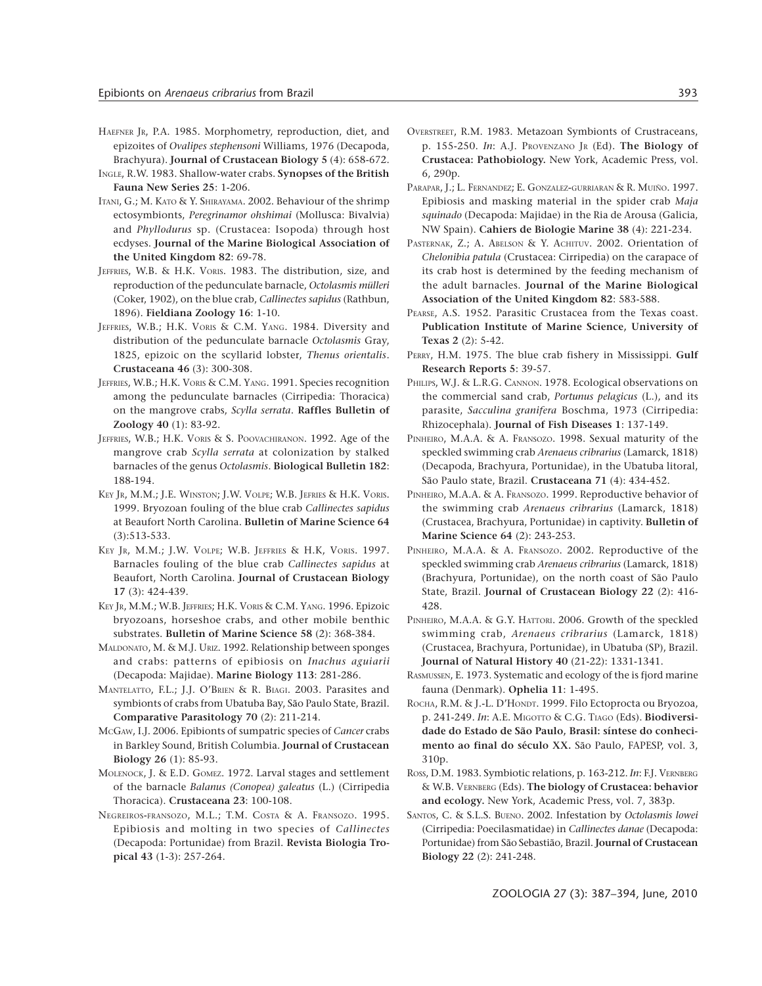- HAEFNER JR, P.A. 1985. Morphometry, reproduction, diet, and epizoites of *Ovalipes stephensoni* Williams, 1976 (Decapoda, Brachyura). **Journal of Crustacean Biology 5** (4): 658-672.
- INGLE, R.W. 1983. Shallow-water crabs. **Synopses of the British Fauna New Series 25**: 1-206.
- ITANI, G.; M. KATO & Y. SHIRAYAMA. 2002. Behaviour of the shrimp ectosymbionts, *Peregrinamor ohshimai* (Mollusca: Bivalvia) and *Phyllodurus* sp. (Crustacea: Isopoda) through host ecdyses. **Journal of the Marine Biological Association of the United Kingdom 82**: 69-78.
- JEFFRIES, W.B. & H.K. VORIS. 1983. The distribution, size, and reproduction of the pedunculate barnacle, *Octolasmis mülleri* (Coker, 1902), on the blue crab, *Callinectes sapidus* (Rathbun, 1896). **Fieldiana Zoology 16**: 1-10.
- JEFFRIES, W.B.; H.K. VORIS & C.M. YANG. 1984. Diversity and distribution of the pedunculate barnacle *Octolasmis* Gray, 1825, epizoic on the scyllarid lobster, *Thenus orientalis*. **Crustaceana 46** (3): 300-308.
- JEFFRIES, W.B.; H.K. VORIS & C.M. YANG. 1991. Species recognition among the pedunculate barnacles (Cirripedia: Thoracica) on the mangrove crabs, *Scylla serrata*. **Raffles Bulletin of Zoology 40** (1): 83-92.
- JEFFRIES, W.B.; H.K. VORIS & S. POOVACHIRANON. 1992. Age of the mangrove crab *Scylla serrata* at colonization by stalked barnacles of the genus *Octolasmis*. **Biological Bulletin 182**: 188-194.
- KEY JR, M.M.; J.E. WINSTON; J.W. VOLPE; W.B. JEFRIES & H.K. VORIS. 1999. Bryozoan fouling of the blue crab *Callinectes sapidus* at Beaufort North Carolina. **Bulletin of Marine Science 64** (3):513-533.
- KEY JR, M.M.; J.W. VOLPE; W.B. JEFFRIES & H.K, VORIS. 1997. Barnacles fouling of the blue crab *Callinectes sapidus* at Beaufort, North Carolina. **Journal of Crustacean Biology 17** (3): 424-439.
- KEY JR, M.M.; W.B. JEFFRIES; H.K. VORIS & C.M. YANG. 1996. Epizoic bryozoans, horseshoe crabs, and other mobile benthic substrates. **Bulletin of Marine Science 58** (2): 368-384.
- MALDONATO, M. & M.J. URIZ. 1992. Relationship between sponges and crabs: patterns of epibiosis on *Inachus aguiarii* (Decapoda: Majidae). **Marine Biology 113**: 281-286.
- MANTELATTO, F.L.; J.J. O'BRIEN & R. BIAGI. 2003. Parasites and symbionts of crabs from Ubatuba Bay, São Paulo State, Brazil. **Comparative Parasitology 70** (2): 211-214.
- MCGAW, I.J. 2006. Epibionts of sumpatric species of *Cancer* crabs in Barkley Sound, British Columbia. **Journal of Crustacean Biology 26** (1): 85-93.
- MOLENOCK, J. & E.D. GOMEZ. 1972. Larval stages and settlement of the barnacle *Balanus (Conopea) galeatus* (L.) (Cirripedia Thoracica). **Crustaceana 23**: 100-108.
- NEGREIROS-FRANSOZO, M.L.; T.M. COSTA & A. FRANSOZO. 1995. Epibiosis and molting in two species of *Callinectes* (Decapoda: Portunidae) from Brazil. **Revista Biologia Tropical 43** (1-3): 257-264.
- OVERSTREET, R.M. 1983. Metazoan Symbionts of Crustraceans, p. 155-250. *In*: A.J. PROVENZANO JR (Ed). **The Biology of Crustacea: Pathobiology.** New York, Academic Press, vol. 6, 290p.
- PARAPAR, J.; L. FERNANDEZ; E. GONZALEZ-GURRIARAN & R. MUIÑO. 1997. Epibiosis and masking material in the spider crab *Maja squinado* (Decapoda: Majidae) in the Ria de Arousa (Galicia, NW Spain). **Cahiers de Biologie Marine 38** (4): 221-234.
- PASTERNAK, Z.; A. ABELSON & Y. ACHITUV. 2002. Orientation of *Chelonibia patula* (Crustacea: Cirripedia) on the carapace of its crab host is determined by the feeding mechanism of the adult barnacles. **Journal of the Marine Biological Association of the United Kingdom 82**: 583-588.
- PEARSE, A.S. 1952. Parasitic Crustacea from the Texas coast. **Publication Institute of Marine Science, University of Texas 2** (2): 5-42.
- PERRY, H.M. 1975. The blue crab fishery in Mississippi. **Gulf Research Reports 5**: 39-57.
- PHILIPS, W.J. & L.R.G. CANNON. 1978. Ecological observations on the commercial sand crab, *Portunus pelagicus* (L.), and its parasite, *Sacculina granifera* Boschma, 1973 (Cirripedia: Rhizocephala). **Journal of Fish Diseases 1**: 137-149.
- PINHEIRO, M.A.A. & A. FRANSOZO. 1998. Sexual maturity of the speckled swimming crab *Arenaeus cribrarius* (Lamarck, 1818) (Decapoda, Brachyura, Portunidae), in the Ubatuba litoral, São Paulo state, Brazil. **Crustaceana 71** (4): 434-452.
- PINHEIRO, M.A.A. & A. FRANSOZO. 1999. Reproductive behavior of the swimming crab *Arenaeus cribrarius* (Lamarck, 1818) (Crustacea, Brachyura, Portunidae) in captivity. **Bulletin of Marine Science 64** (2): 243-253.
- PINHEIRO, M.A.A. & A. FRANSOZO. 2002. Reproductive of the speckled swimming crab *Arenaeus cribrarius* (Lamarck, 1818) (Brachyura, Portunidae), on the north coast of São Paulo State, Brazil. **Journal of Crustacean Biology 22** (2): 416- 428.
- PINHEIRO, M.A.A. & G.Y. HATTORI. 2006. Growth of the speckled swimming crab, *Arenaeus cribrarius* (Lamarck, 1818) (Crustacea, Brachyura, Portunidae), in Ubatuba (SP), Brazil. **Journal of Natural History 40** (21-22): 1331-1341.
- RASMUSSEN, E. 1973. Systematic and ecology of the is fjord marine fauna (Denmark). **Ophelia 11**: 1-495.
- ROCHA, R.M. & J.-L. D'HONDT. 1999. Filo Ectoprocta ou Bryozoa, p. 241-249. *In*: A.E. MIGOTTO & C.G. TIAGO (Eds). **Biodiversidade do Estado de São Paulo, Brasil: síntese do conhecimento ao final do século XX.** São Paulo, FAPESP, vol. 3, 310p.
- ROSS, D.M. 1983. Symbiotic relations, p. 163-212. *In*: F.J. VERNBERG & W.B. VERNBERG (Eds). **The biology of Crustacea: behavior and ecology.** New York, Academic Press, vol. 7, 383p.
- SANTOS, C. & S.L.S. BUENO. 2002. Infestation by *Octolasmis lowei* (Cirripedia: Poecilasmatidae) in *Callinectes danae* (Decapoda: Portunidae) from São Sebastião, Brazil. **Journal of Crustacean Biology 22** (2): 241-248.

ZOOLOGIA 27 (3): 387–394, June, 2010